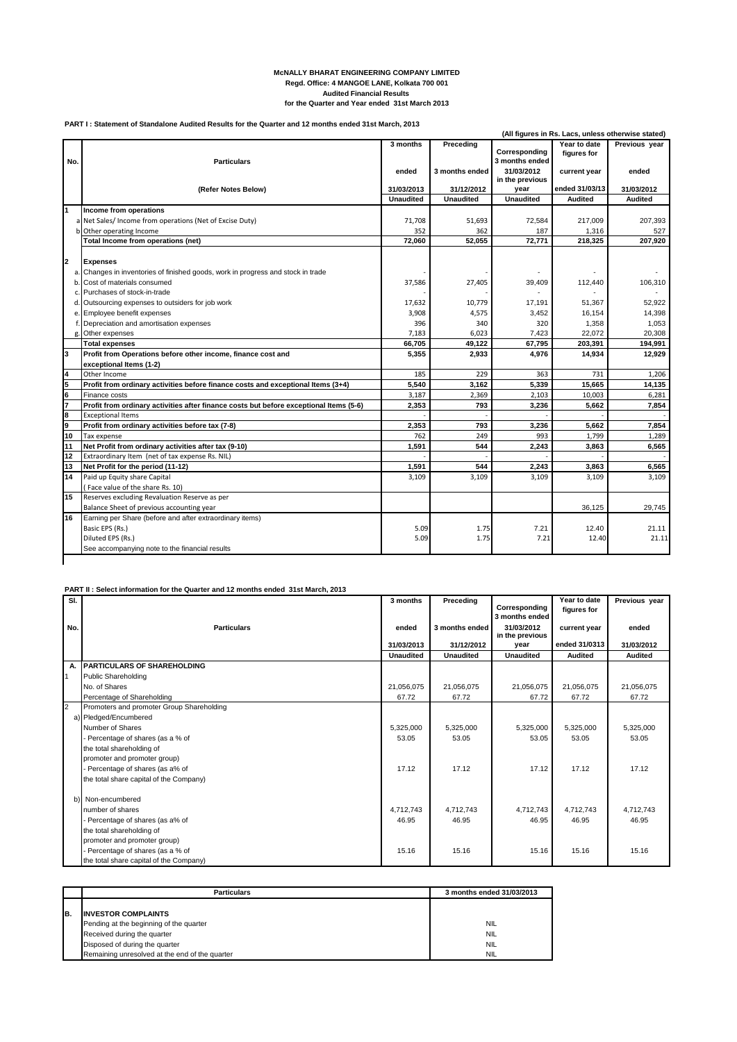## **McNALLY BHARAT ENGINEERING COMPANY LIMITED Regd. Office: 4 MANGOE LANE, Kolkata 700 001 Audited Financial Results for the Quarter and Year ended 31st March 2013**

## **PART I : Statement of Standalone Audited Results for the Quarter and 12 months ended 31st March, 2013**

|               |                                                                                        |                  |                  |                                 |                             | (All figures in Rs. Lacs, unless otherwise stated) |
|---------------|----------------------------------------------------------------------------------------|------------------|------------------|---------------------------------|-----------------------------|----------------------------------------------------|
| No.           | <b>Particulars</b>                                                                     | 3 months         | Preceding        | Corresponding<br>3 months ended | Year to date<br>figures for | Previous vear                                      |
|               |                                                                                        | ended            | 3 months ended   | 31/03/2012<br>in the previous   | current year                | ended                                              |
|               | (Refer Notes Below)                                                                    | 31/03/2013       | 31/12/2012       | year                            | ended 31/03/13              | 31/03/2012                                         |
|               |                                                                                        | <b>Unaudited</b> | <b>Unaudited</b> | <b>Unaudited</b>                | <b>Audited</b>              | <b>Audited</b>                                     |
| 1             | Income from operations                                                                 |                  |                  |                                 |                             |                                                    |
|               | a Net Sales/ Income from operations (Net of Excise Duty)                               | 71,708           | 51,693           | 72.584                          | 217.009                     | 207.393                                            |
|               | b Other operating Income                                                               | 352              | 362              | 187                             | 1,316                       | 527                                                |
|               | Total Income from operations (net)                                                     | 72,060           | 52,055           | 72,771                          | 218,325                     | 207,920                                            |
| 2             | <b>Expenses</b>                                                                        |                  |                  |                                 |                             |                                                    |
|               | a. Changes in inventories of finished goods, work in progress and stock in trade       |                  |                  |                                 |                             |                                                    |
| b.            | Cost of materials consumed                                                             | 37,586           | 27,405           | 39,409                          | 112,440                     | 106,310                                            |
| C.            | Purchases of stock-in-trade                                                            |                  |                  |                                 |                             |                                                    |
| d.            | Outsourcing expenses to outsiders for job work                                         | 17,632           | 10,779           | 17,191                          | 51,367                      | 52,922                                             |
| e.            | Employee benefit expenses                                                              | 3,908            | 4,575            | 3,452                           | 16,154                      | 14,398                                             |
| f.            | Depreciation and amortisation expenses                                                 | 396              | 340              | 320                             | 1,358                       | 1,053                                              |
| g             | Other expenses                                                                         | 7,183            | 6,023            | 7,423                           | 22,072                      | 20,308                                             |
|               | <b>Total expenses</b>                                                                  | 66,705           | 49,122           | 67.795                          | 203,391                     | 194,991                                            |
| l3            | Profit from Operations before other income, finance cost and                           | 5,355            | 2.933            | 4.976                           | 14,934                      | 12.929                                             |
|               | exceptional Items (1-2)                                                                |                  |                  |                                 |                             |                                                    |
| $\frac{4}{5}$ | Other Income                                                                           | 185              | 229              | 363                             | 731                         | 1,206                                              |
|               | Profit from ordinary activities before finance costs and exceptional Items (3+4)       | 5.540            | 3.162            | 5.339                           | 15.665                      | 14.135                                             |
| $\frac{6}{7}$ | Finance costs                                                                          | 3,187            | 2,369            | 2,103                           | 10,003                      | 6,281                                              |
|               | Profit from ordinary activities after finance costs but before exceptional Items (5-6) | 2,353            | 793              | 3,236                           | 5,662                       | 7,854                                              |
| 8             | <b>Exceptional Items</b>                                                               |                  |                  |                                 |                             |                                                    |
| 9             | Profit from ordinary activities before tax (7-8)                                       | 2,353            | 793              | 3,236                           | 5,662                       | 7,854                                              |
| 10            | Tax expense                                                                            | 762              | 249              | 993                             | 1,799                       | 1,289                                              |
| 11            | Net Profit from ordinary activities after tax (9-10)                                   | 1,591            | 544              | 2,243                           | 3,863                       | 6,565                                              |
| 12            | Extraordinary Item (net of tax expense Rs. NIL)                                        |                  |                  |                                 |                             |                                                    |
| 13            | Net Profit for the period (11-12)                                                      | 1,591            | 544              | 2,243                           | 3.863                       | 6,565                                              |
| 14            | Paid up Equity share Capital                                                           | 3,109            | 3,109            | 3,109                           | 3,109                       | 3,109                                              |
|               | (Face value of the share Rs. 10)                                                       |                  |                  |                                 |                             |                                                    |
| 15            | Reserves excluding Revaluation Reserve as per                                          |                  |                  |                                 |                             |                                                    |
|               | Balance Sheet of previous accounting year                                              |                  |                  |                                 | 36.125                      | 29.745                                             |
| 16            | Earning per Share (before and after extraordinary items)                               |                  |                  |                                 |                             |                                                    |
|               | Basic EPS (Rs.)                                                                        | 5.09             | 1.75             | 7.21                            | 12.40                       | 21.11                                              |
|               | Diluted EPS (Rs.)                                                                      | 5.09             | 1.75             | 7.21                            | 12.40                       | 21.11                                              |
|               | See accompanying note to the financial results                                         |                  |                  |                                 |                             |                                                    |
|               |                                                                                        |                  |                  |                                 |                             |                                                    |

## **PART II : Select information for the Quarter and 12 months ended 31st March, 2013**

| SI.            |                                           | 3 months         | Preceding        | Corresponding<br>3 months ended | Year to date<br>figures for | Previous year  |
|----------------|-------------------------------------------|------------------|------------------|---------------------------------|-----------------------------|----------------|
| No.            | <b>Particulars</b>                        | ended            | 3 months ended   | 31/03/2012<br>in the previous   | current year                | ended          |
|                |                                           | 31/03/2013       | 31/12/2012       | year                            | ended 31/0313               | 31/03/2012     |
|                |                                           | <b>Unaudited</b> | <b>Unaudited</b> | <b>Unaudited</b>                | <b>Audited</b>              | <b>Audited</b> |
| А.             | <b>PARTICULARS OF SHAREHOLDING</b>        |                  |                  |                                 |                             |                |
| $\overline{1}$ | Public Shareholding                       |                  |                  |                                 |                             |                |
|                | No. of Shares                             | 21,056,075       | 21.056.075       | 21,056,075                      | 21,056,075                  | 21,056,075     |
|                | Percentage of Shareholding                | 67.72            | 67.72            | 67.72                           | 67.72                       | 67.72          |
| $\overline{2}$ | Promoters and promoter Group Shareholding |                  |                  |                                 |                             |                |
|                | a) Pledged/Encumbered                     |                  |                  |                                 |                             |                |
|                | Number of Shares                          | 5,325,000        | 5,325,000        | 5,325,000                       | 5,325,000                   | 5,325,000      |
|                | Percentage of shares (as a % of           | 53.05            | 53.05            | 53.05                           | 53.05                       | 53.05          |
|                | the total shareholding of                 |                  |                  |                                 |                             |                |
|                | promoter and promoter group)              |                  |                  |                                 |                             |                |
|                | Percentage of shares (as a% of            | 17.12            | 17.12            | 17.12                           | 17.12                       | 17.12          |
|                | the total share capital of the Company)   |                  |                  |                                 |                             |                |
| b)             | Non-encumbered                            |                  |                  |                                 |                             |                |
|                | number of shares                          | 4,712,743        |                  |                                 |                             |                |
|                |                                           |                  | 4,712,743        | 4,712,743                       | 4,712,743                   | 4,712,743      |
|                | Percentage of shares (as a% of            | 46.95            | 46.95            | 46.95                           | 46.95                       | 46.95          |
|                | the total shareholding of                 |                  |                  |                                 |                             |                |
|                | promoter and promoter group)              |                  |                  |                                 |                             |                |
|                | Percentage of shares (as a % of           | 15.16            | 15.16            | 15.16                           | 15.16                       | 15.16          |
|                | the total share capital of the Company)   |                  |                  |                                 |                             |                |

|    | <b>Particulars</b>                             | 3 months ended 31/03/2013 |
|----|------------------------------------------------|---------------------------|
|    |                                                |                           |
| B. | <b>INVESTOR COMPLAINTS</b>                     |                           |
|    | Pending at the beginning of the quarter        | <b>NIL</b>                |
|    | Received during the quarter                    | <b>NIL</b>                |
|    | Disposed of during the quarter                 | <b>NIL</b>                |
|    | Remaining unresolved at the end of the quarter | <b>NIL</b>                |